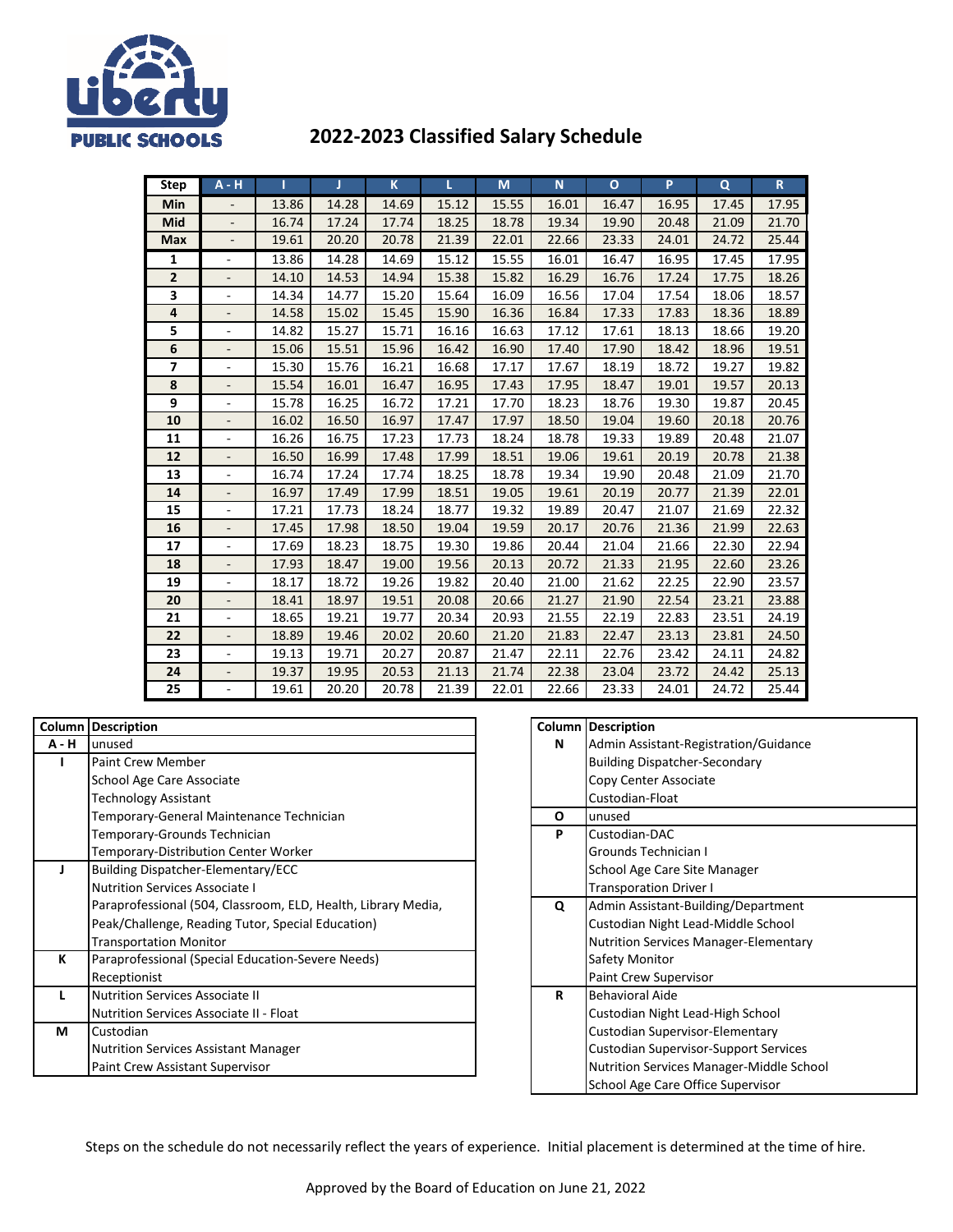

## **2022-2023 Classified Salary Schedule**

| <b>Step</b>    | $A - H$                  |       | Г     | K.    | L     | M     | N     | $\mathbf{o}$ | P     | Q     | $\mathsf{R}$ |
|----------------|--------------------------|-------|-------|-------|-------|-------|-------|--------------|-------|-------|--------------|
| Min            |                          | 13.86 | 14.28 | 14.69 | 15.12 | 15.55 | 16.01 | 16.47        | 16.95 | 17.45 | 17.95        |
| Mid            |                          | 16.74 | 17.24 | 17.74 | 18.25 | 18.78 | 19.34 | 19.90        | 20.48 | 21.09 | 21.70        |
| <b>Max</b>     | $\overline{\phantom{0}}$ | 19.61 | 20.20 | 20.78 | 21.39 | 22.01 | 22.66 | 23.33        | 24.01 | 24.72 | 25.44        |
| 1              |                          | 13.86 | 14.28 | 14.69 | 15.12 | 15.55 | 16.01 | 16.47        | 16.95 | 17.45 | 17.95        |
| $\overline{2}$ |                          | 14.10 | 14.53 | 14.94 | 15.38 | 15.82 | 16.29 | 16.76        | 17.24 | 17.75 | 18.26        |
| 3              |                          | 14.34 | 14.77 | 15.20 | 15.64 | 16.09 | 16.56 | 17.04        | 17.54 | 18.06 | 18.57        |
| 4              |                          | 14.58 | 15.02 | 15.45 | 15.90 | 16.36 | 16.84 | 17.33        | 17.83 | 18.36 | 18.89        |
| 5              |                          | 14.82 | 15.27 | 15.71 | 16.16 | 16.63 | 17.12 | 17.61        | 18.13 | 18.66 | 19.20        |
| 6              |                          | 15.06 | 15.51 | 15.96 | 16.42 | 16.90 | 17.40 | 17.90        | 18.42 | 18.96 | 19.51        |
| 7              |                          | 15.30 | 15.76 | 16.21 | 16.68 | 17.17 | 17.67 | 18.19        | 18.72 | 19.27 | 19.82        |
| 8              |                          | 15.54 | 16.01 | 16.47 | 16.95 | 17.43 | 17.95 | 18.47        | 19.01 | 19.57 | 20.13        |
| 9              | $\blacksquare$           | 15.78 | 16.25 | 16.72 | 17.21 | 17.70 | 18.23 | 18.76        | 19.30 | 19.87 | 20.45        |
| 10             |                          | 16.02 | 16.50 | 16.97 | 17.47 | 17.97 | 18.50 | 19.04        | 19.60 | 20.18 | 20.76        |
| 11             |                          | 16.26 | 16.75 | 17.23 | 17.73 | 18.24 | 18.78 | 19.33        | 19.89 | 20.48 | 21.07        |
| 12             |                          | 16.50 | 16.99 | 17.48 | 17.99 | 18.51 | 19.06 | 19.61        | 20.19 | 20.78 | 21.38        |
| 13             |                          | 16.74 | 17.24 | 17.74 | 18.25 | 18.78 | 19.34 | 19.90        | 20.48 | 21.09 | 21.70        |
| 14             |                          | 16.97 | 17.49 | 17.99 | 18.51 | 19.05 | 19.61 | 20.19        | 20.77 | 21.39 | 22.01        |
| 15             |                          | 17.21 | 17.73 | 18.24 | 18.77 | 19.32 | 19.89 | 20.47        | 21.07 | 21.69 | 22.32        |
| 16             |                          | 17.45 | 17.98 | 18.50 | 19.04 | 19.59 | 20.17 | 20.76        | 21.36 | 21.99 | 22.63        |
| 17             |                          | 17.69 | 18.23 | 18.75 | 19.30 | 19.86 | 20.44 | 21.04        | 21.66 | 22.30 | 22.94        |
| 18             |                          | 17.93 | 18.47 | 19.00 | 19.56 | 20.13 | 20.72 | 21.33        | 21.95 | 22.60 | 23.26        |
| 19             |                          | 18.17 | 18.72 | 19.26 | 19.82 | 20.40 | 21.00 | 21.62        | 22.25 | 22.90 | 23.57        |
| 20             | $\overline{\phantom{a}}$ | 18.41 | 18.97 | 19.51 | 20.08 | 20.66 | 21.27 | 21.90        | 22.54 | 23.21 | 23.88        |
| 21             |                          | 18.65 | 19.21 | 19.77 | 20.34 | 20.93 | 21.55 | 22.19        | 22.83 | 23.51 | 24.19        |
| 22             |                          | 18.89 | 19.46 | 20.02 | 20.60 | 21.20 | 21.83 | 22.47        | 23.13 | 23.81 | 24.50        |
| 23             |                          | 19.13 | 19.71 | 20.27 | 20.87 | 21.47 | 22.11 | 22.76        | 23.42 | 24.11 | 24.82        |
| 24             |                          | 19.37 | 19.95 | 20.53 | 21.13 | 21.74 | 22.38 | 23.04        | 23.72 | 24.42 | 25.13        |
| 25             |                          | 19.61 | 20.20 | 20.78 | 21.39 | 22.01 | 22.66 | 23.33        | 24.01 | 24.72 | 25.44        |

|              | <b>Column Description</b>                                     |   | <b>Column Description</b>                    |  |  |  |
|--------------|---------------------------------------------------------------|---|----------------------------------------------|--|--|--|
| <b>A</b> - H | unused                                                        | N | Admin Assistant-Registration/Guidance        |  |  |  |
|              | <b>Paint Crew Member</b>                                      |   | <b>Building Dispatcher-Secondary</b>         |  |  |  |
|              | School Age Care Associate                                     |   | Copy Center Associate                        |  |  |  |
|              | <b>Technology Assistant</b>                                   |   | Custodian-Float                              |  |  |  |
|              | Temporary-General Maintenance Technician                      | O | unused                                       |  |  |  |
|              | Temporary-Grounds Technician                                  | P | Custodian-DAC                                |  |  |  |
|              | <b>Temporary-Distribution Center Worker</b>                   |   | Grounds Technician I                         |  |  |  |
|              | Building Dispatcher-Elementary/ECC                            |   | School Age Care Site Manager                 |  |  |  |
|              | <b>Nutrition Services Associate I</b>                         |   | <b>Transporation Driver I</b>                |  |  |  |
|              | Paraprofessional (504, Classroom, ELD, Health, Library Media, | Q | Admin Assistant-Building/Department          |  |  |  |
|              | Peak/Challenge, Reading Tutor, Special Education)             |   | Custodian Night Lead-Middle School           |  |  |  |
|              | <b>Transportation Monitor</b>                                 |   | <b>Nutrition Services Manager-Elementary</b> |  |  |  |
| К            | Paraprofessional (Special Education-Severe Needs)             |   | Safety Monitor                               |  |  |  |
|              | Receptionist                                                  |   | <b>Paint Crew Supervisor</b>                 |  |  |  |
|              | <b>Nutrition Services Associate II</b>                        | R | <b>Behavioral Aide</b>                       |  |  |  |
|              | <b>Nutrition Services Associate II - Float</b>                |   | Custodian Night Lead-High School             |  |  |  |
| М            | Custodian                                                     |   | Custodian Supervisor-Elementary              |  |  |  |
|              | <b>Nutrition Services Assistant Manager</b>                   |   | <b>Custodian Supervisor-Support Services</b> |  |  |  |
|              | Paint Crew Assistant Supervisor                               |   | Nutrition Services Manager-Middle School     |  |  |  |
|              |                                                               |   |                                              |  |  |  |

|   | <b>Column Description</b>                       |  |  |  |  |  |  |  |
|---|-------------------------------------------------|--|--|--|--|--|--|--|
| N | Admin Assistant-Registration/Guidance           |  |  |  |  |  |  |  |
|   | <b>Building Dispatcher-Secondary</b>            |  |  |  |  |  |  |  |
|   | Copy Center Associate                           |  |  |  |  |  |  |  |
|   | Custodian-Float                                 |  |  |  |  |  |  |  |
| Ο | unused                                          |  |  |  |  |  |  |  |
| P | Custodian-DAC                                   |  |  |  |  |  |  |  |
|   | Grounds Technician I                            |  |  |  |  |  |  |  |
|   | School Age Care Site Manager                    |  |  |  |  |  |  |  |
|   | <b>Transporation Driver I</b>                   |  |  |  |  |  |  |  |
| Q | Admin Assistant-Building/Department             |  |  |  |  |  |  |  |
|   | Custodian Night Lead-Middle School              |  |  |  |  |  |  |  |
|   | <b>Nutrition Services Manager-Elementary</b>    |  |  |  |  |  |  |  |
|   | Safety Monitor                                  |  |  |  |  |  |  |  |
|   | <b>Paint Crew Supervisor</b>                    |  |  |  |  |  |  |  |
| R | <b>Behavioral Aide</b>                          |  |  |  |  |  |  |  |
|   | Custodian Night Lead-High School                |  |  |  |  |  |  |  |
|   | Custodian Supervisor-Elementary                 |  |  |  |  |  |  |  |
|   | <b>Custodian Supervisor-Support Services</b>    |  |  |  |  |  |  |  |
|   | <b>Nutrition Services Manager-Middle School</b> |  |  |  |  |  |  |  |
|   | School Age Care Office Supervisor               |  |  |  |  |  |  |  |

Steps on the schedule do not necessarily reflect the years of experience. Initial placement is determined at the time of hire.